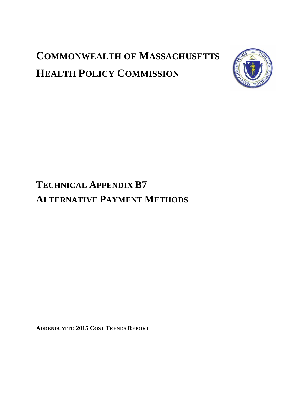# **COMMONWEALTH OF MASSACHUSETTS HEALTH POLICY COMMISSION**



# **TECHNICAL APPENDIX B7 ALTERNATIVE PAYMENT METHODS**

**ADDENDUM TO 2015 COST TRENDS REPORT**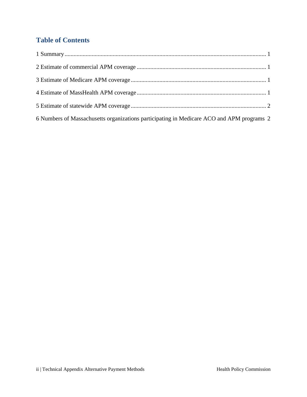## **Table of Contents**

| 6 Numbers of Massachusetts organizations participating in Medicare ACO and APM programs 2 |  |
|-------------------------------------------------------------------------------------------|--|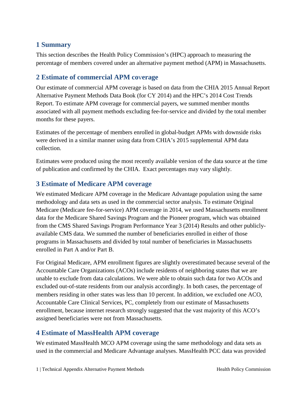#### <span id="page-2-0"></span>**1 Summary**

This section describes the Health Policy Commission's (HPC) approach to measuring the percentage of members covered under an alternative payment method (APM) in Massachusetts.

#### <span id="page-2-1"></span>**2 Estimate of commercial APM co**v**erage**

Our estimate of commercial APM coverage is based on data from the CHIA 2015 Annual Report Alternative Payment Methods Data Book (for CY 2014) and the HPC's 2014 Cost Trends Report. To estimate APM coverage for commercial payers, we summed member months associated with all payment methods excluding fee-for-service and divided by the total member months for these payers.

Estimates of the percentage of members enrolled in global-budget APMs with downside risks were derived in a similar manner using data from CHIA's 2015 supplemental APM data collection.

Estimates were produced using the most recently available version of the data source at the time of publication and confirmed by the CHIA. Exact percentages may vary slightly.

#### <span id="page-2-2"></span>**3 Estimate of Medicare APM coverage**

We estimated Medicare APM coverage in the Medicare Advantage population using the same methodology and data sets as used in the commercial sector analysis. To estimate Original Medicare (Medicare fee-for-service) APM coverage in 2014, we used Massachusetts enrollment data for the Medicare Shared Savings Program and the Pioneer program, which was obtained from the CMS Shared Savings Program Performance Year 3 (2014) Results and other publiclyavailable CMS data. We summed the number of beneficiaries enrolled in either of those programs in Massachusetts and divided by total number of beneficiaries in Massachusetts enrolled in Part A and/or Part B.

For Original Medicare, APM enrollment figures are slightly overestimated because several of the Accountable Care Organizations (ACOs) include residents of neighboring states that we are unable to exclude from data calculations. We were able to obtain such data for two ACOs and excluded out-of-state residents from our analysis accordingly. In both cases, the percentage of members residing in other states was less than 10 percent. In addition, we excluded one ACO, Accountable Care Clinical Services, PC, completely from our estimate of Massachusetts enrollment, because internet research strongly suggested that the vast majority of this ACO's assigned beneficiaries were not from Massachusetts.

#### <span id="page-2-3"></span>**4 Estimate of MassHealth APM coverage**

We estimated MassHealth MCO APM coverage using the same methodology and data sets as used in the commercial and Medicare Advantage analyses. MassHealth PCC data was provided